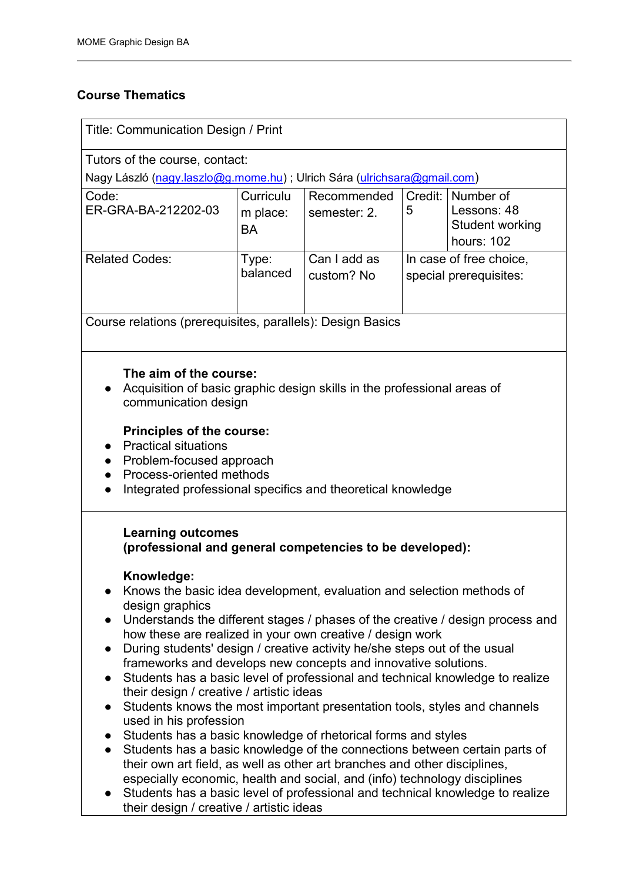# **Course Thematics**

| Title: Communication Design / Print                                                                                                                                                                                                                                                                                                                                                                                                                                                                                                                                                                                                                                                                                                                                                                                                                                                                                                                                                                                                                                                                                                                                                                                                                  |                                    |                             |                                                   |                                                           |
|------------------------------------------------------------------------------------------------------------------------------------------------------------------------------------------------------------------------------------------------------------------------------------------------------------------------------------------------------------------------------------------------------------------------------------------------------------------------------------------------------------------------------------------------------------------------------------------------------------------------------------------------------------------------------------------------------------------------------------------------------------------------------------------------------------------------------------------------------------------------------------------------------------------------------------------------------------------------------------------------------------------------------------------------------------------------------------------------------------------------------------------------------------------------------------------------------------------------------------------------------|------------------------------------|-----------------------------|---------------------------------------------------|-----------------------------------------------------------|
| Tutors of the course, contact:                                                                                                                                                                                                                                                                                                                                                                                                                                                                                                                                                                                                                                                                                                                                                                                                                                                                                                                                                                                                                                                                                                                                                                                                                       |                                    |                             |                                                   |                                                           |
| Nagy László (nagy.laszlo@g.mome.hu) ; Ulrich Sára (ulrichsara@gmail.com)                                                                                                                                                                                                                                                                                                                                                                                                                                                                                                                                                                                                                                                                                                                                                                                                                                                                                                                                                                                                                                                                                                                                                                             |                                    |                             |                                                   |                                                           |
| Code:<br>ER-GRA-BA-212202-03                                                                                                                                                                                                                                                                                                                                                                                                                                                                                                                                                                                                                                                                                                                                                                                                                                                                                                                                                                                                                                                                                                                                                                                                                         | Curriculu<br>m place:<br><b>BA</b> | Recommended<br>semester: 2. | Credit:<br>5                                      | Number of<br>Lessons: 48<br>Student working<br>hours: 102 |
| <b>Related Codes:</b>                                                                                                                                                                                                                                                                                                                                                                                                                                                                                                                                                                                                                                                                                                                                                                                                                                                                                                                                                                                                                                                                                                                                                                                                                                | Type:<br>balanced                  | Can I add as<br>custom? No  | In case of free choice,<br>special prerequisites: |                                                           |
| Course relations (prerequisites, parallels): Design Basics                                                                                                                                                                                                                                                                                                                                                                                                                                                                                                                                                                                                                                                                                                                                                                                                                                                                                                                                                                                                                                                                                                                                                                                           |                                    |                             |                                                   |                                                           |
| The aim of the course:<br>Acquisition of basic graphic design skills in the professional areas of<br>communication design<br>Principles of the course:<br><b>Practical situations</b><br>Problem-focused approach<br>Process-oriented methods<br>Integrated professional specifics and theoretical knowledge                                                                                                                                                                                                                                                                                                                                                                                                                                                                                                                                                                                                                                                                                                                                                                                                                                                                                                                                         |                                    |                             |                                                   |                                                           |
| <b>Learning outcomes</b><br>(professional and general competencies to be developed):<br>Knowledge:<br>Knows the basic idea development, evaluation and selection methods of<br>design graphics<br>Understands the different stages / phases of the creative / design process and<br>$\bullet$<br>how these are realized in your own creative / design work<br>During students' design / creative activity he/she steps out of the usual<br>$\bullet$<br>frameworks and develops new concepts and innovative solutions.<br>Students has a basic level of professional and technical knowledge to realize<br>their design / creative / artistic ideas<br>Students knows the most important presentation tools, styles and channels<br>$\bullet$<br>used in his profession<br>Students has a basic knowledge of rhetorical forms and styles<br>$\bullet$<br>Students has a basic knowledge of the connections between certain parts of<br>$\bullet$<br>their own art field, as well as other art branches and other disciplines,<br>especially economic, health and social, and (info) technology disciplines<br>Students has a basic level of professional and technical knowledge to realize<br>$\bullet$<br>their design / creative / artistic ideas |                                    |                             |                                                   |                                                           |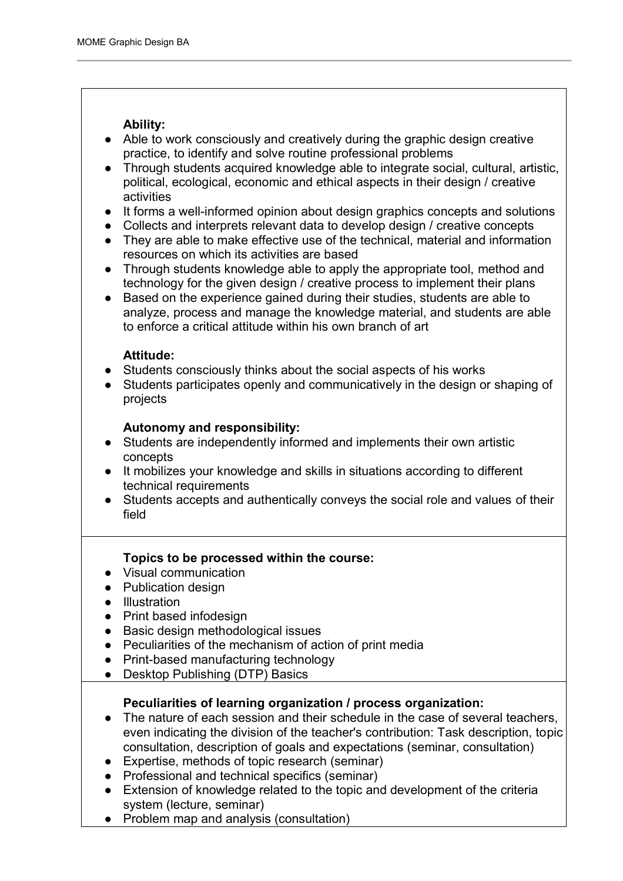# **Ability:**

- Able to work consciously and creatively during the graphic design creative practice, to identify and solve routine professional problems
- Through students acquired knowledge able to integrate social, cultural, artistic, political, ecological, economic and ethical aspects in their design / creative activities
- It forms a well-informed opinion about design graphics concepts and solutions
- Collects and interprets relevant data to develop design / creative concepts
- They are able to make effective use of the technical, material and information resources on which its activities are based
- Through students knowledge able to apply the appropriate tool, method and technology for the given design / creative process to implement their plans
- Based on the experience gained during their studies, students are able to analyze, process and manage the knowledge material, and students are able to enforce a critical attitude within his own branch of art

#### **Attitude:**

- Students consciously thinks about the social aspects of his works
- Students participates openly and communicatively in the design or shaping of projects

# **Autonomy and responsibility:**

- Students are independently informed and implements their own artistic concepts
- It mobilizes your knowledge and skills in situations according to different technical requirements
- Students accepts and authentically conveys the social role and values of their field

# **Topics to be processed within the course:**

- Visual communication
- Publication design
- Illustration
- Print based infodesign
- Basic design methodological issues
- Peculiarities of the mechanism of action of print media
- Print-based manufacturing technology
- Desktop Publishing (DTP) Basics

# **Peculiarities of learning organization / process organization:**

- The nature of each session and their schedule in the case of several teachers, even indicating the division of the teacher's contribution: Task description, topic consultation, description of goals and expectations (seminar, consultation)
- Expertise, methods of topic research (seminar)
- Professional and technical specifics (seminar)
- Extension of knowledge related to the topic and development of the criteria system (lecture, seminar)
- Problem map and analysis (consultation)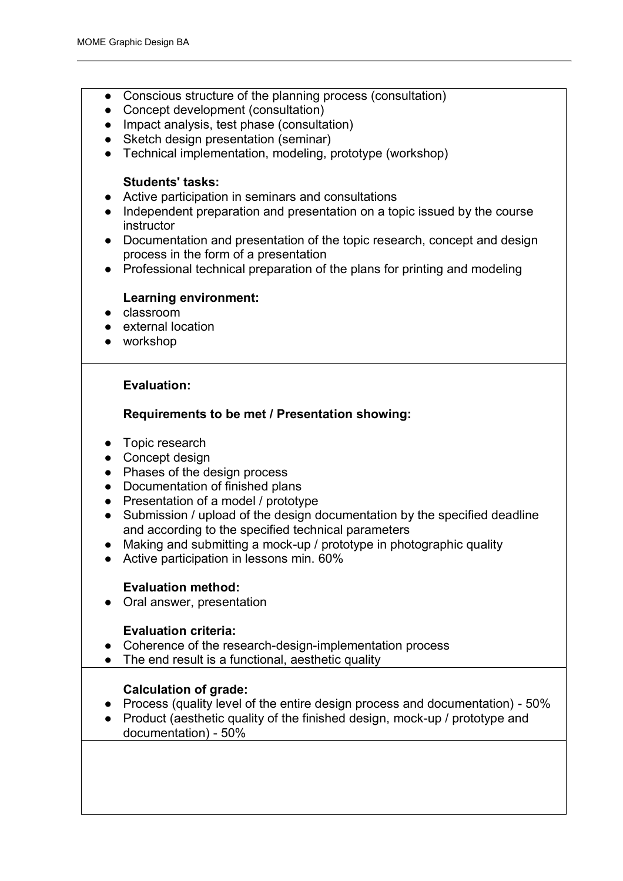- Conscious structure of the planning process (consultation)
- Concept development (consultation)
- Impact analysis, test phase (consultation)
- Sketch design presentation (seminar)
- Technical implementation, modeling, prototype (workshop)

# **Students' tasks:**

- Active participation in seminars and consultations
- Independent preparation and presentation on a topic issued by the course instructor
- Documentation and presentation of the topic research, concept and design process in the form of a presentation
- Professional technical preparation of the plans for printing and modeling

#### **Learning environment:**

- classroom
- external location
- workshop

# **Evaluation:**

# **Requirements to be met / Presentation showing:**

- Topic research
- Concept design
- Phases of the design process
- Documentation of finished plans
- Presentation of a model / prototype
- Submission / upload of the design documentation by the specified deadline and according to the specified technical parameters
- Making and submitting a mock-up / prototype in photographic quality
- Active participation in lessons min. 60%

# **Evaluation method:**

● Oral answer, presentation

# **Evaluation criteria:**

- Coherence of the research-design-implementation process
- The end result is a functional, aesthetic quality

# **Calculation of grade:**

- Process (quality level of the entire design process and documentation) 50%
- Product (aesthetic quality of the finished design, mock-up / prototype and documentation) - 50%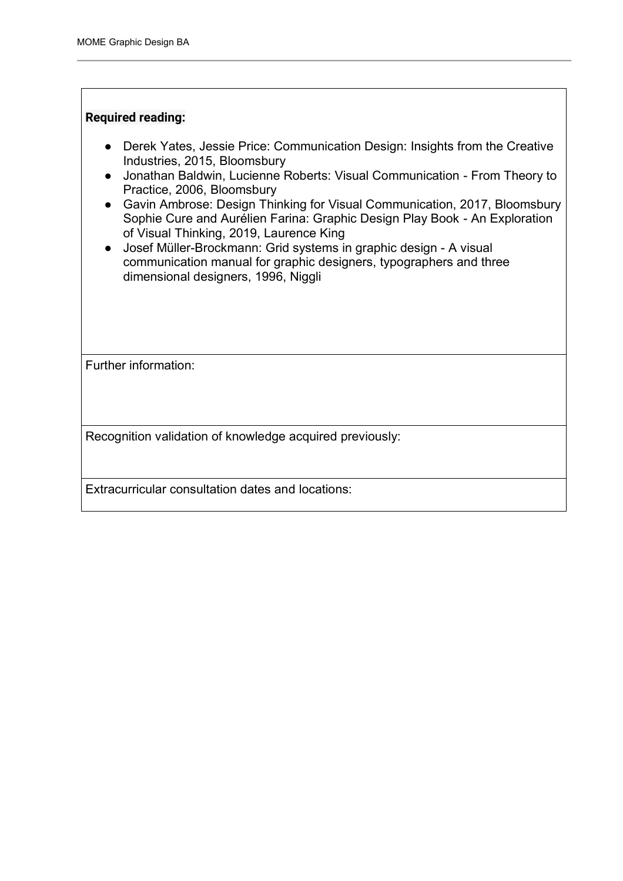#### **Required reading:**

- Derek Yates, Jessie Price: Communication Design: Insights from the Creative Industries, 2015, Bloomsbury
- Jonathan Baldwin, Lucienne Roberts: Visual Communication From Theory to Practice, 2006, Bloomsbury
- Gavin Ambrose: Design Thinking for Visual Communication, 2017, Bloomsbury Sophie Cure and Aurélien Farina: Graphic Design Play Book - An Exploration of Visual Thinking, 2019, Laurence King
- Josef Müller-Brockmann: Grid systems in graphic design A visual communication manual for graphic designers, typographers and three dimensional designers, 1996, Niggli

Further information:

Recognition validation of knowledge acquired previously:

Extracurricular consultation dates and locations: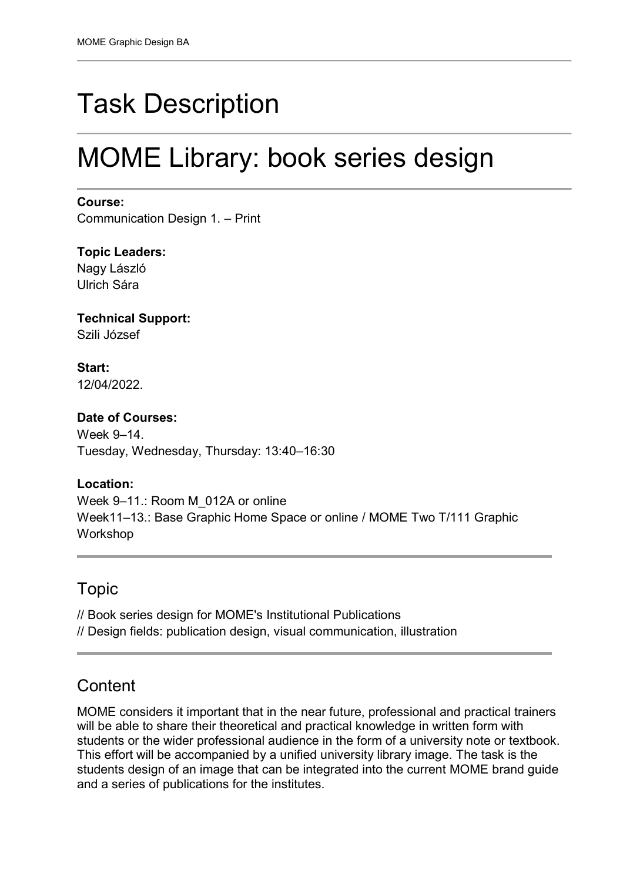# Task Description

# MOME Library: book series design

#### **Course:**

Communication Design 1. – Print

**Topic Leaders:**  Nagy László Ulrich Sára

**Technical Support:** Szili József

**Start:** 12/04/2022.

# **Date of Courses:**

Week 9–14. Tuesday, Wednesday, Thursday: 13:40–16:30

# **Location:**

Week 9-11.: Room M\_012A or online Week11–13.: Base Graphic Home Space or online / MOME Two T/111 Graphic Workshop

# Topic

// Book series design for MOME's Institutional Publications

// Design fields: publication design, visual communication, illustration

# **Content**

MOME considers it important that in the near future, professional and practical trainers will be able to share their theoretical and practical knowledge in written form with students or the wider professional audience in the form of a university note or textbook. This effort will be accompanied by a unified university library image. The task is the students design of an image that can be integrated into the current MOME brand guide and a series of publications for the institutes.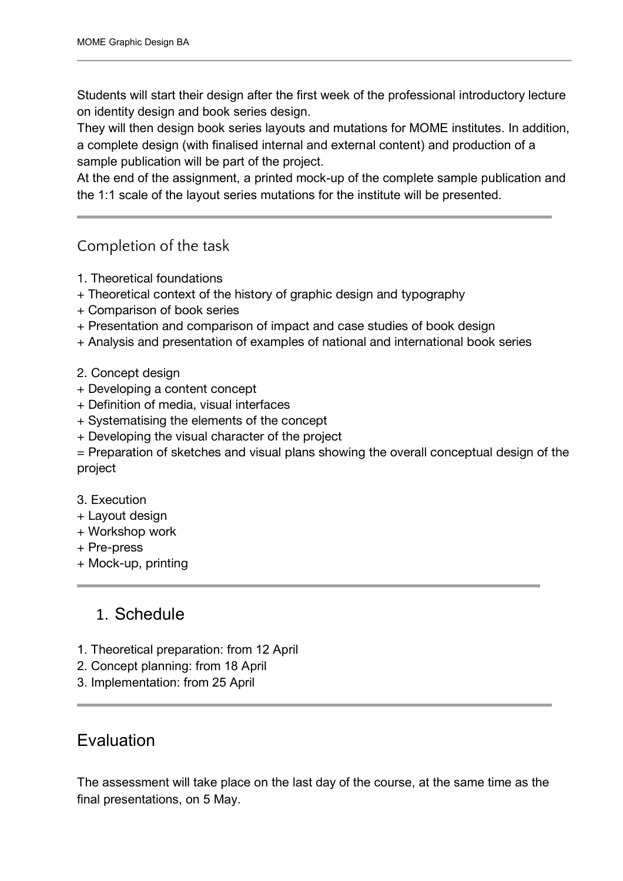Students will start their design after the first week of the professional introductory lecture on identity design and book series design.

They will then design book series layouts and mutations for MOME institutes. In addition, a complete design (with finalised internal and external content) and production of a sample publication will be part of the project.

At the end of the assignment, a printed mock-up of the complete sample publication and the 1:1 scale of the layout series mutations for the institute will be presented.

# Completion of the task

- 1. Theoretical foundations
- + Theoretical context of the history of graphic design and typography
- + Comparison of book series
- + Presentation and comparison of impact and case studies of book design
- + Analysis and presentation of examples of national and international book series
- 2. Concept design
- + Developing a content concept
- + Definition of media, visual interfaces
- + Systematising the elements of the concept
- + Developing the visual character of the project
- = Preparation of sketches and visual plans showing the overall conceptual design of the project
- 3. Execution
- + Layout design
- + Workshop work
- + Pre-press
- + Mock-up, printing

# 1. Schedule

- 1. Theoretical preparation: from 12 April
- 2. Concept planning: from 18 April
- 3. Implementation: from 25 April

# Evaluation

The assessment will take place on the last day of the course, at the same time as the final presentations, on 5 May.